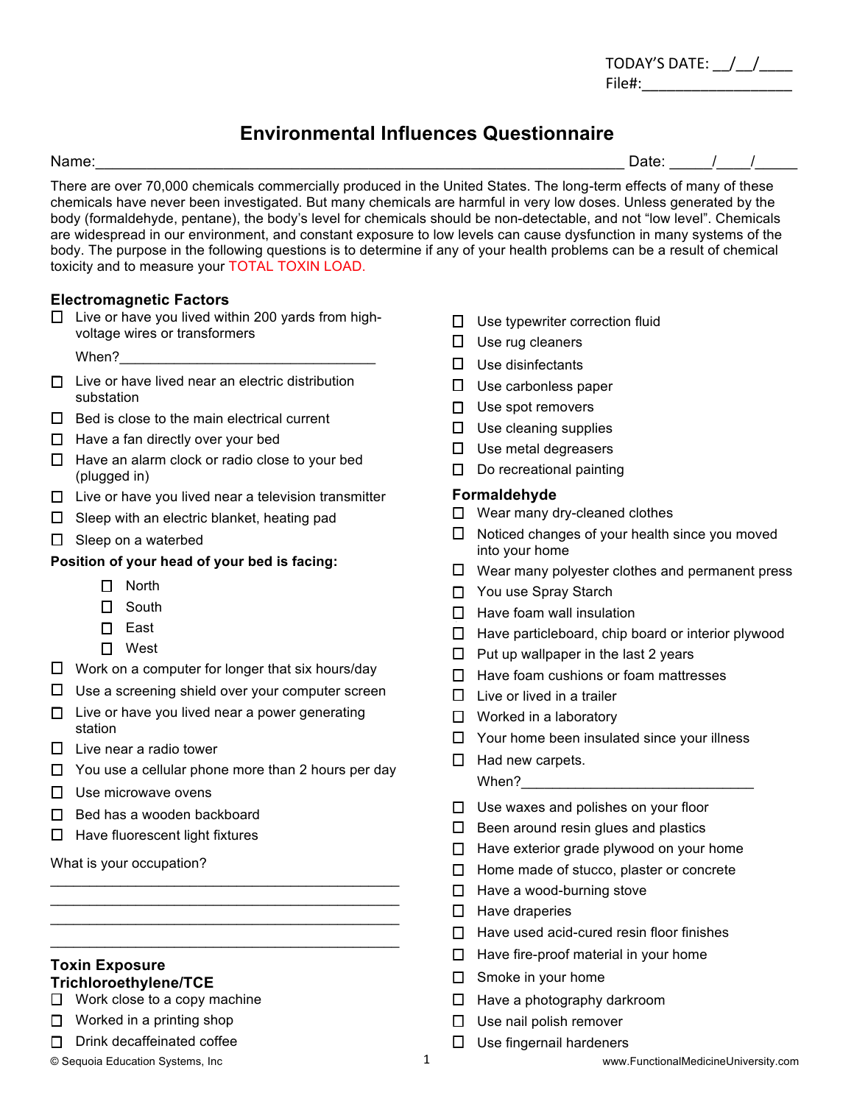| <b>TODAY'S DATE:</b> |  |
|----------------------|--|
| File#:               |  |

# **Environmental Influences Questionnaire**

Name:\_\_\_\_\_\_\_\_\_\_\_\_\_\_\_\_\_\_\_\_\_\_\_\_\_\_\_\_\_\_\_\_\_\_\_\_\_\_\_\_\_\_\_\_\_\_\_\_\_\_\_\_\_\_\_\_\_\_\_\_\_\_ Date: \_\_\_\_\_/\_\_\_\_/\_\_\_\_\_

There are over 70,000 chemicals commercially produced in the United States. The long-term effects of many of these chemicals have never been investigated. But many chemicals are harmful in very low doses. Unless generated by the body (formaldehyde, pentane), the body's level for chemicals should be non-detectable, and not "low level". Chemicals are widespread in our environment, and constant exposure to low levels can cause dysfunction in many systems of the body. The purpose in the following questions is to determine if any of your health problems can be a result of chemical toxicity and to measure your TOTAL TOXIN LOAD.

## **Electromagnetic Factors**

 $\Box$  Live or have you lived within 200 yards from highvoltage wires or transformers

When?

- $\Box$  Live or have lived near an electric distribution substation
- $\Box$  Bed is close to the main electrical current
- $\Box$  Have a fan directly over your bed
- $\Box$  Have an alarm clock or radio close to your bed (plugged in)
- $\Box$  Live or have you lived near a television transmitter
- $\Box$  Sleep with an electric blanket, heating pad
- $\Box$  Sleep on a waterbed

### **Position of your head of your bed is facing:**

- $\Pi$  North
- $\Box$  South
- $\Box$  East
- $\Box$  West
- $\Box$  Work on a computer for longer that six hours/day
- $\Box$  Use a screening shield over your computer screen
- $\Box$  Live or have you lived near a power generating station
- $\Box$  Live near a radio tower
- $\Box$  You use a cellular phone more than 2 hours per day

 $\mathcal{L}_\text{max}$  and  $\mathcal{L}_\text{max}$  and  $\mathcal{L}_\text{max}$  and  $\mathcal{L}_\text{max}$  and  $\mathcal{L}_\text{max}$  $\mathcal{L}_\text{max}$  and  $\mathcal{L}_\text{max}$  and  $\mathcal{L}_\text{max}$  and  $\mathcal{L}_\text{max}$  and  $\mathcal{L}_\text{max}$ \_\_\_\_\_\_\_\_\_\_\_\_\_\_\_\_\_\_\_\_\_\_\_\_\_\_\_\_\_\_\_\_\_\_\_\_\_\_\_\_\_\_\_\_\_  $\mathcal{L}_\text{max}$  and  $\mathcal{L}_\text{max}$  and  $\mathcal{L}_\text{max}$  and  $\mathcal{L}_\text{max}$  and  $\mathcal{L}_\text{max}$ 

- $\Pi$  Use microwave ovens
- $\Box$  Bed has a wooden backboard
- $\Box$  Have fluorescent light fixtures

What is your occupation?

#### **Toxin Exposure Trichloroethylene/TCE**

 $\Box$  Work close to a copy machine

- $\Box$  Worked in a printing shop
- $\Box$  Drink decaffeinated coffee

- $\Box$  Use typewriter correction fluid
- $\Box$  Use rug cleaners
- $\square$  Use disinfectants
- $\Box$  Use carbonless paper
- $\Box$  Use spot removers
- $\Box$  Use cleaning supplies
- $\Box$  Use metal degreasers
- $\Box$  Do recreational painting

### **Formaldehyde**

- $\Box$  Wear many dry-cleaned clothes
- $\Box$  Noticed changes of your health since you moved into your home
- $\Box$  Wear many polyester clothes and permanent press
- $\Box$  You use Spray Starch
- $\Box$  Have foam wall insulation
- $\Box$  Have particleboard, chip board or interior plywood
- $\Box$  Put up wallpaper in the last 2 years
- $\Box$  Have foam cushions or foam mattresses
- $\Box$  Live or lived in a trailer
- $\Box$  Worked in a laboratory
- $\Box$  Your home been insulated since your illness
- $\Box$  Had new carpets.
	- When?
- $\Box$  Use waxes and polishes on your floor
- $\Box$  Been around resin glues and plastics
- $\Box$  Have exterior grade plywood on your home
- $\Box$  Home made of stucco, plaster or concrete
- $\Box$  Have a wood-burning stove
- $\Box$  Have draperies
- $\Box$  Have used acid-cured resin floor finishes
- $\Box$  Have fire-proof material in your home
- $\Box$  Smoke in your home
- $\Box$  Have a photography darkroom
- $\Box$  Use nail polish remover
- $\Box$  Use fingernail hardeners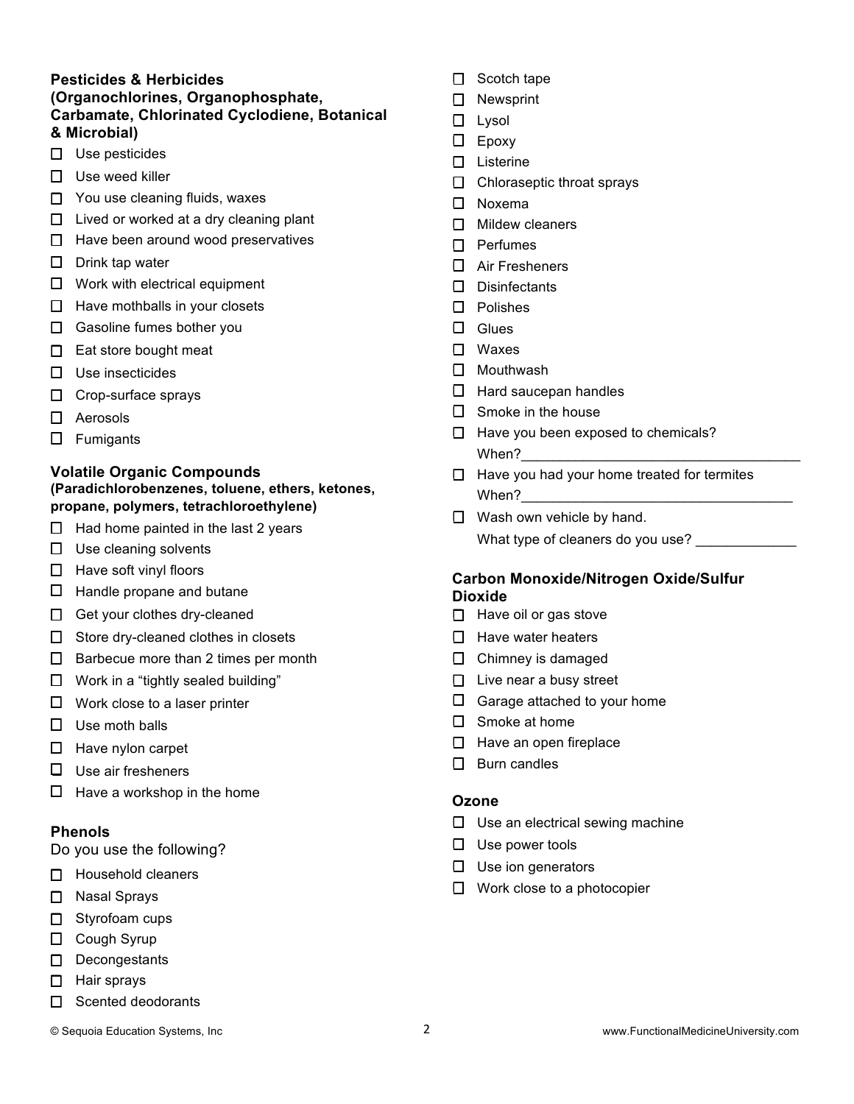## **Pesticides & Herbicides (Organochlorines, Organophosphate, Carbamate, Chlorinated Cyclodiene, Botanical & Microbial)**

- $\square$  Use pesticides
- $\Box$  Use weed killer
- $\Box$  You use cleaning fluids, waxes
- $\Box$  Lived or worked at a dry cleaning plant
- $\Box$  Have been around wood preservatives
- $\Box$  Drink tap water
- $\Box$  Work with electrical equipment
- $\Box$  Have mothballs in your closets
- $\Box$  Gasoline fumes bother you
- $\Box$  Eat store bought meat
- $\square$  Use insecticides
- $\Box$  Crop-surface sprays
- $\Box$  Aerosols
- $\Box$  Fumigants

#### **Volatile Organic Compounds (Paradichlorobenzenes, toluene, ethers, ketones, propane, polymers, tetrachloroethylene)**

- $\Box$  Had home painted in the last 2 years
- $\Box$  Use cleaning solvents
- $\Box$  Have soft vinyl floors
- $\Box$  Handle propane and butane
- $\Box$  Get your clothes dry-cleaned
- $\Box$  Store dry-cleaned clothes in closets
- $\Box$  Barbecue more than 2 times per month
- $\Box$  Work in a "tightly sealed building"
- $\Box$  Work close to a laser printer
- $\Box$  Use moth balls
- $\Box$  Have nylon carpet
- $\square$  Use air fresheners
- $\Box$  Have a workshop in the home

### **Phenols**

Do you use the following?

- $\Box$  Household cleaners
- $\Box$  Nasal Sprays
- $\Box$  Styrofoam cups
- $\Box$  Cough Syrup
- $\Box$  Decongestants
- $\Box$  Hair sprays
- $\Box$  Scented deodorants
- 
- $\Box$  Scotch tape
- $\Box$  Newsprint
- $\Box$  Lysol
- $\Box$  Epoxy
- $\square$  Listerine
- $\Box$  Chloraseptic throat sprays
- $\square$  Noxema
- $\Box$  Mildew cleaners
- $\Box$  Perfumes
- $\Box$  Air Fresheners
- $\Pi$  Disinfectants
- $\Box$  Polishes
- $\Box$  Glues
- $\Box$  Waxes
- $\square$  Mouthwash
- $\Box$  Hard saucepan handles
- $\Box$  Smoke in the house
- $\Box$  Have you been exposed to chemicals? When?
- $\Box$  Have you had your home treated for termites When?
- $\Box$  Wash own vehicle by hand. What type of cleaners do you use?

## **Carbon Monoxide/Nitrogen Oxide/Sulfur Dioxide**

- $\Box$  Have oil or gas stove
- $\Box$  Have water heaters
- $\Box$  Chimney is damaged
- $\Box$  Live near a busy street
- $\Box$  Garage attached to your home
- $\square$  Smoke at home
- $\Box$  Have an open fireplace
- $\Pi$  Burn candles

#### **Ozone**

- $\Box$  Use an electrical sewing machine
- $\Box$  Use power tools
- $\Box$  Use ion generators
- $\Box$  Work close to a photocopier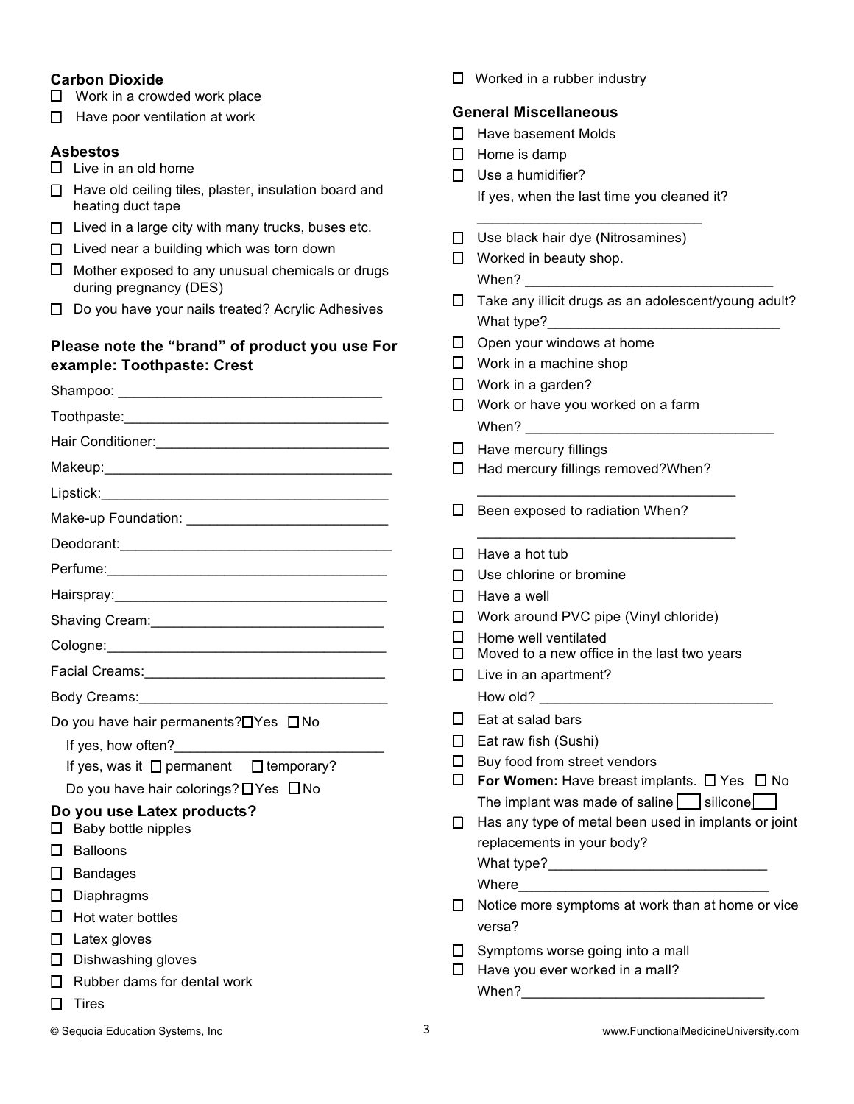## **Carbon Dioxide**

- $\Box$  Work in a crowded work place
- $\Box$  Have poor ventilation at work

#### **Asbestos**

- $\Box$  Live in an old home
- $\Box$  Have old ceiling tiles, plaster, insulation board and heating duct tape
- $\Box$  Lived in a large city with many trucks, buses etc.
- $\Box$  Lived near a building which was torn down
- $\Box$  Mother exposed to any unusual chemicals or drugs during pregnancy (DES)
- $\Box$  Do you have your nails treated? Acrylic Adhesives

## **Please note the "brand" of product you use For example: Toothpaste: Crest**

| Shaving Cream: Management Cream and Cream and Cream and Cream and Cream and Cream and Cream and Cream and Crea                                                                                                                 |  |  |  |  |
|--------------------------------------------------------------------------------------------------------------------------------------------------------------------------------------------------------------------------------|--|--|--|--|
|                                                                                                                                                                                                                                |  |  |  |  |
| Facial Creams: Management Creams and Creams and Creams and Creams and Creams and Creams and Creams and Creams and Creams and Creams and Creams and Creams and Creams and Creams and Creams and Creams and Creams and Creams an |  |  |  |  |
|                                                                                                                                                                                                                                |  |  |  |  |
| Do you have hair permanents? <sup>[17]</sup> Yes <sup>[17]</sup> No                                                                                                                                                            |  |  |  |  |
|                                                                                                                                                                                                                                |  |  |  |  |
| If yes, was it $\Box$ permanent $\Box$ temporary?                                                                                                                                                                              |  |  |  |  |
| Do you have hair colorings? $\Box$ Yes $\Box$ No                                                                                                                                                                               |  |  |  |  |
| Do you use Latex products?<br>Baby bottle nipples                                                                                                                                                                              |  |  |  |  |
| <b>Balloons</b>                                                                                                                                                                                                                |  |  |  |  |
| <b>Bandages</b>                                                                                                                                                                                                                |  |  |  |  |
| Diaphragms                                                                                                                                                                                                                     |  |  |  |  |
| Hot water bottles                                                                                                                                                                                                              |  |  |  |  |
| Latex gloves                                                                                                                                                                                                                   |  |  |  |  |
| Dishwashing gloves                                                                                                                                                                                                             |  |  |  |  |
| Rubber dams for dental work                                                                                                                                                                                                    |  |  |  |  |
| Tires                                                                                                                                                                                                                          |  |  |  |  |
|                                                                                                                                                                                                                                |  |  |  |  |

 $\Box$  Worked in a rubber industry

## **General Miscellaneous**

- $\Pi$  Have basement Molds
- $\Box$  Home is damp
- $\Box$  Use a humidifier? If yes, when the last time you cleaned it?

\_\_\_\_\_\_\_\_\_\_\_\_\_\_\_\_\_\_\_\_\_\_\_\_\_\_\_\_\_

- $\Box$  Use black hair dye (Nitrosamines)
- $\Box$  Worked in beauty shop. When?
- $\Box$  Take any illicit drugs as an adolescent/young adult? What type?
- $\Box$  Open your windows at home
- $\Box$  Work in a machine shop
- $\Box$  Work in a garden?
- $\Box$  Work or have you worked on a farm When?
- $\Box$  Have mercury fillings
- $\Box$  Had mercury fillings removed?When?

\_\_\_\_\_\_\_\_\_\_\_\_\_\_\_\_\_\_\_\_\_\_\_\_\_\_\_\_\_\_\_\_\_

\_\_\_\_\_\_\_\_\_\_\_\_\_\_\_\_\_\_\_\_\_\_\_\_\_\_\_\_\_\_\_\_\_

- $\Box$  Been exposed to radiation When?
- $\Box$  Have a hot tub
- $\Box$  Use chlorine or bromine
- $\Box$  Have a well
- $\Box$  Work around PVC pipe (Vinyl chloride)
- $\Box$  Home well ventilated
- $\Box$  Moved to a new office in the last two years
- $\Box$  Live in an apartment? How old?
- $\Box$  Eat at salad bars
- $\Box$  Eat raw fish (Sushi)
- $\Box$  Buy food from street vendors
- $\Box$  For Women: Have breast implants.  $\Box$  Yes  $\Box$  No The implant was made of saline  $\Box$  silicone  $\Box$
- $\Box$  Has any type of metal been used in implants or joint replacements in your body? What type?\_\_\_\_\_\_\_\_\_\_\_\_\_\_\_\_\_\_\_\_\_\_\_\_\_\_\_\_

Where

- $\Box$  Notice more symptoms at work than at home or vice versa?
- $\Box$  Symptoms worse going into a mall
- $\Box$  Have you ever worked in a mall? When?\_\_\_\_\_\_\_\_\_\_\_\_\_\_\_\_\_\_\_\_\_\_\_\_\_\_\_\_\_\_\_